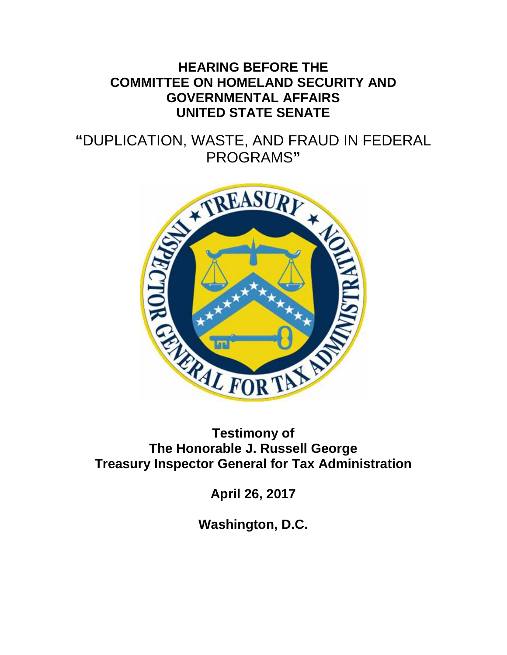### **HEARING BEFORE THE COMMITTEE ON HOMELAND SECURITY AND GOVERNMENTAL AFFAIRS UNITED STATE SENATE**

# **"**DUPLICATION, WASTE, AND FRAUD IN FEDERAL



# **The Honorable J. Russell George Treasury Inspector General for Tax Administration**

**April 26, 2017**

**Washington, D.C.**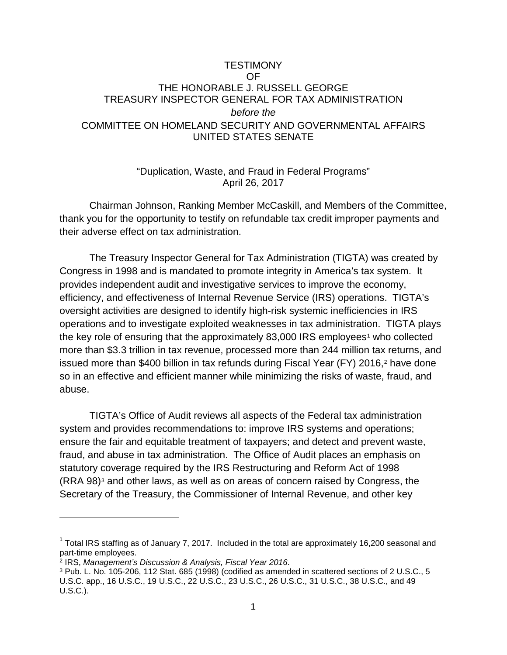#### **TESTIMONY** OF THE HONORABLE J. RUSSELL GEORGE TREASURY INSPECTOR GENERAL FOR TAX ADMINISTRATION *before the* COMMITTEE ON HOMELAND SECURITY AND GOVERNMENTAL AFFAIRS UNITED STATES SENATE

#### "Duplication, Waste, and Fraud in Federal Programs" April 26, 2017

Chairman Johnson, Ranking Member McCaskill, and Members of the Committee, thank you for the opportunity to testify on refundable tax credit improper payments and their adverse effect on tax administration.

The Treasury Inspector General for Tax Administration (TIGTA) was created by Congress in 1998 and is mandated to promote integrity in America's tax system. It provides independent audit and investigative services to improve the economy, efficiency, and effectiveness of Internal Revenue Service (IRS) operations. TIGTA's oversight activities are designed to identify high-risk systemic inefficiencies in IRS operations and to investigate exploited weaknesses in tax administration. TIGTA plays the key role of ensuring that the approximately  $83,000$  IRS employees<sup>[1](#page-1-0)</sup> who collected more than \$3.3 trillion in tax revenue, processed more than 244 million tax returns, and issued more than \$400 billion in tax refunds during Fiscal Year (FY) [2](#page-1-1)016, $2$  have done so in an effective and efficient manner while minimizing the risks of waste, fraud, and abuse.

TIGTA's Office of Audit reviews all aspects of the Federal tax administration system and provides recommendations to: improve IRS systems and operations; ensure the fair and equitable treatment of taxpayers; and detect and prevent waste, fraud, and abuse in tax administration. The Office of Audit places an emphasis on statutory coverage required by the IRS Restructuring and Reform Act of 1998 (RRA 98)[3](#page-1-2) and other laws, as well as on areas of concern raised by Congress, the Secretary of the Treasury, the Commissioner of Internal Revenue, and other key

<span id="page-1-0"></span> $1$  Total IRS staffing as of January 7, 2017. Included in the total are approximately 16,200 seasonal and part-time employees.

<span id="page-1-1"></span><sup>2</sup> IRS, *Management's Discussion & Analysis, Fiscal Year 2016*.

<span id="page-1-2"></span><sup>3</sup> Pub. L. No. 105-206, 112 Stat. 685 (1998) (codified as amended in scattered sections of 2 U.S.C., 5 U.S.C. app., 16 U.S.C., 19 U.S.C., 22 U.S.C., 23 U.S.C., 26 U.S.C., 31 U.S.C., 38 U.S.C., and 49 U.S.C.).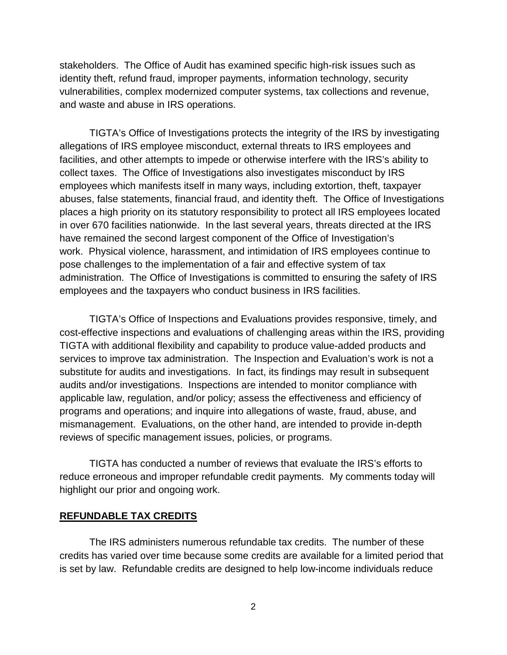stakeholders. The Office of Audit has examined specific high-risk issues such as identity theft, refund fraud, improper payments, information technology, security vulnerabilities, complex modernized computer systems, tax collections and revenue, and waste and abuse in IRS operations.

TIGTA's Office of Investigations protects the integrity of the IRS by investigating allegations of IRS employee misconduct, external threats to IRS employees and facilities, and other attempts to impede or otherwise interfere with the IRS's ability to collect taxes. The Office of Investigations also investigates misconduct by IRS employees which manifests itself in many ways, including extortion, theft, taxpayer abuses, false statements, financial fraud, and identity theft. The Office of Investigations places a high priority on its statutory responsibility to protect all IRS employees located in over 670 facilities nationwide. In the last several years, threats directed at the IRS have remained the second largest component of the Office of Investigation's work. Physical violence, harassment, and intimidation of IRS employees continue to pose challenges to the implementation of a fair and effective system of tax administration. The Office of Investigations is committed to ensuring the safety of IRS employees and the taxpayers who conduct business in IRS facilities.

TIGTA's Office of Inspections and Evaluations provides responsive, timely, and cost-effective inspections and evaluations of challenging areas within the IRS, providing TIGTA with additional flexibility and capability to produce value-added products and services to improve tax administration. The Inspection and Evaluation's work is not a substitute for audits and investigations. In fact, its findings may result in subsequent audits and/or investigations. Inspections are intended to monitor compliance with applicable law, regulation, and/or policy; assess the effectiveness and efficiency of programs and operations; and inquire into allegations of waste, fraud, abuse, and mismanagement. Evaluations, on the other hand, are intended to provide in-depth reviews of specific management issues, policies, or programs.

TIGTA has conducted a number of reviews that evaluate the IRS's efforts to reduce erroneous and improper refundable credit payments. My comments today will highlight our prior and ongoing work.

#### **REFUNDABLE TAX CREDITS**

The IRS administers numerous refundable tax credits. The number of these credits has varied over time because some credits are available for a limited period that is set by law. Refundable credits are designed to help low-income individuals reduce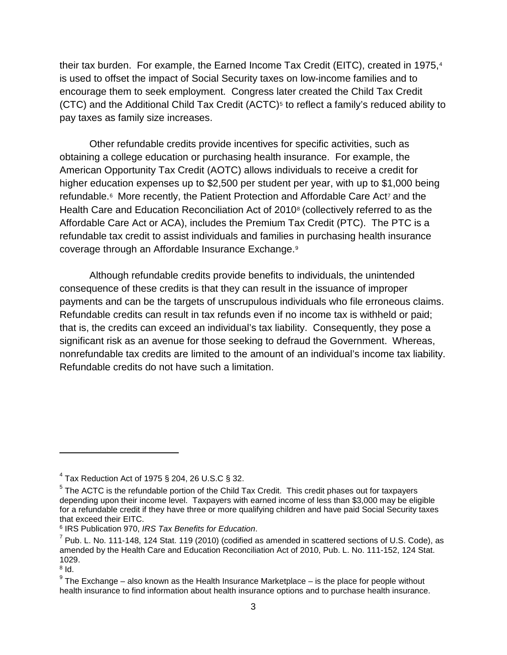their tax burden. For example, the Earned Income Tax Credit (EITC), created in 1975,[4](#page-3-0) is used to offset the impact of Social Security taxes on low-income families and to encourage them to seek employment. Congress later created the Child Tax Credit (CTC) and the Additional Child Tax Credit (ACTC)<sup>[5](#page-3-1)</sup> to reflect a family's reduced ability to pay taxes as family size increases.

Other refundable credits provide incentives for specific activities, such as obtaining a college education or purchasing health insurance. For example, the American Opportunity Tax Credit (AOTC) allows individuals to receive a credit for higher education expenses up to \$2,500 per student per year, with up to \$1,000 being refundable.<sup>[6](#page-3-2)</sup> More recently, the Patient Protection and Affordable Care Act<sup>[7](#page-3-3)</sup> and the Health Care and Education Reconciliation Act of 2010[8](#page-3-4) (collectively referred to as the Affordable Care Act or ACA), includes the Premium Tax Credit (PTC). The PTC is a refundable tax credit to assist individuals and families in purchasing health insurance coverage through an Affordable Insurance Exchange.[9](#page-3-5)

Although refundable credits provide benefits to individuals, the unintended consequence of these credits is that they can result in the issuance of improper payments and can be the targets of unscrupulous individuals who file erroneous claims. Refundable credits can result in tax refunds even if no income tax is withheld or paid; that is, the credits can exceed an individual's tax liability. Consequently, they pose a significant risk as an avenue for those seeking to defraud the Government. Whereas, nonrefundable tax credits are limited to the amount of an individual's income tax liability. Refundable credits do not have such a limitation.

<span id="page-3-1"></span><span id="page-3-0"></span> $4$  Tax Reduction Act of 1975 § 204, 26 U.S.C § 32.<br><sup>5</sup> The ACTC is the refundable portion of the Child Tax Credit. This credit phases out for taxpayers depending upon their income level. Taxpayers with earned income of less than \$3,000 may be eligible for a refundable credit if they have three or more qualifying children and have paid Social Security taxes that exceed their EITC.

<span id="page-3-2"></span><sup>6</sup> IRS Publication 970, *IRS Tax Benefits for Education*.

<span id="page-3-3"></span> $<sup>7</sup>$  Pub. L. No. 111-148, 124 Stat. 119 (2010) (codified as amended in scattered sections of U.S. Code), as</sup> amended by the Health Care and Education Reconciliation Act of 2010, Pub. L. No. 111-152, 124 Stat. 1029.

<span id="page-3-4"></span><sup>8</sup> Id.

<span id="page-3-5"></span> $9$  The Exchange – also known as the Health Insurance Marketplace – is the place for people without health insurance to find information about health insurance options and to purchase health insurance.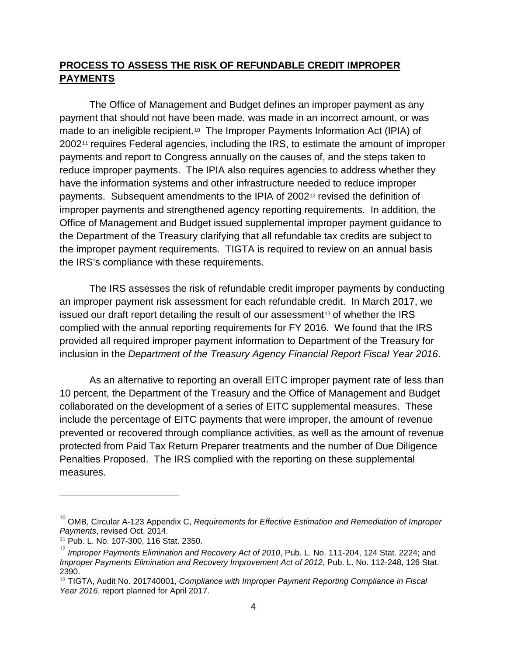#### **PROCESS TO ASSESS THE RISK OF REFUNDABLE CREDIT IMPROPER PAYMENTS**

The Office of Management and Budget defines an improper payment as any payment that should not have been made, was made in an incorrect amount, or was made to an ineligible recipient.[10](#page-4-0) The Improper Payments Information Act (IPIA) of 2002<sup>[11](#page-4-1)</sup> requires Federal agencies, including the IRS, to estimate the amount of improper payments and report to Congress annually on the causes of, and the steps taken to reduce improper payments. The IPIA also requires agencies to address whether they have the information systems and other infrastructure needed to reduce improper payments. Subsequent amendments to the IPIA of 2002[12](#page-4-2) revised the definition of improper payments and strengthened agency reporting requirements. In addition, the Office of Management and Budget issued supplemental improper payment guidance to the Department of the Treasury clarifying that all refundable tax credits are subject to the improper payment requirements. TIGTA is required to review on an annual basis the IRS's compliance with these requirements.

The IRS assesses the risk of refundable credit improper payments by conducting an improper payment risk assessment for each refundable credit. In March 2017, we issued our draft report detailing the result of our assessment<sup>[13](#page-4-3)</sup> of whether the IRS complied with the annual reporting requirements for FY 2016. We found that the IRS provided all required improper payment information to Department of the Treasury for inclusion in the *Department of the Treasury Agency Financial Report Fiscal Year 2016*.

As an alternative to reporting an overall EITC improper payment rate of less than 10 percent, the Department of the Treasury and the Office of Management and Budget collaborated on the development of a series of EITC supplemental measures. These include the percentage of EITC payments that were improper, the amount of revenue prevented or recovered through compliance activities, as well as the amount of revenue protected from Paid Tax Return Preparer treatments and the number of Due Diligence Penalties Proposed. The IRS complied with the reporting on these supplemental measures.

<span id="page-4-0"></span><sup>&</sup>lt;sup>10</sup> OMB, Circular A-123 Appendix C, *Requirements for Effective Estimation and Remediation of Improper Payments*, revised Oct. 2014.

<span id="page-4-1"></span><sup>11</sup> Pub. L. No. 107-300, 116 Stat. 2350.

<span id="page-4-2"></span><sup>&</sup>lt;sup>12</sup> Improper Payments Elimination and Recovery Act of 2010, Pub. L. No. 111-204, 124 Stat. 2224; and *Improper Payments Elimination and Recovery Improvement Act of 2012*, Pub. L. No. 112-248, 126 Stat. 2390.

<span id="page-4-3"></span><sup>13</sup> TIGTA, Audit No. 201740001, *Compliance with Improper Payment Reporting Compliance in Fiscal Year 2016*, report planned for April 2017.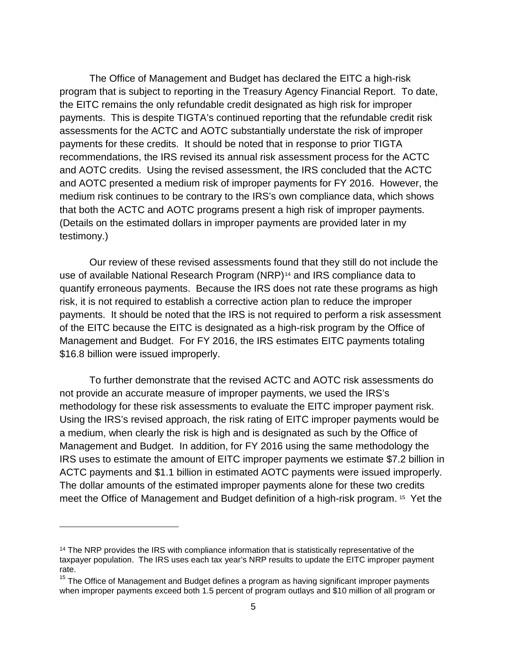The Office of Management and Budget has declared the EITC a high-risk program that is subject to reporting in the Treasury Agency Financial Report. To date, the EITC remains the only refundable credit designated as high risk for improper payments. This is despite TIGTA's continued reporting that the refundable credit risk assessments for the ACTC and AOTC substantially understate the risk of improper payments for these credits. It should be noted that in response to prior TIGTA recommendations, the IRS revised its annual risk assessment process for the ACTC and AOTC credits. Using the revised assessment, the IRS concluded that the ACTC and AOTC presented a medium risk of improper payments for FY 2016. However, the medium risk continues to be contrary to the IRS's own compliance data, which shows that both the ACTC and AOTC programs present a high risk of improper payments. (Details on the estimated dollars in improper payments are provided later in my testimony.)

Our review of these revised assessments found that they still do not include the use of available National Research Program (NRP)<sup>[14](#page-5-0)</sup> and IRS compliance data to quantify erroneous payments. Because the IRS does not rate these programs as high risk, it is not required to establish a corrective action plan to reduce the improper payments. It should be noted that the IRS is not required to perform a risk assessment of the EITC because the EITC is designated as a high-risk program by the Office of Management and Budget. For FY 2016, the IRS estimates EITC payments totaling \$16.8 billion were issued improperly.

To further demonstrate that the revised ACTC and AOTC risk assessments do not provide an accurate measure of improper payments, we used the IRS's methodology for these risk assessments to evaluate the EITC improper payment risk. Using the IRS's revised approach, the risk rating of EITC improper payments would be a medium, when clearly the risk is high and is designated as such by the Office of Management and Budget. In addition, for FY 2016 using the same methodology the IRS uses to estimate the amount of EITC improper payments we estimate \$7.2 billion in ACTC payments and \$1.1 billion in estimated AOTC payments were issued improperly. The dollar amounts of the estimated improper payments alone for these two credits meet the Office of Management and Budget definition of a high-risk program. [15](#page-5-1) Yet the

<span id="page-5-0"></span><sup>&</sup>lt;sup>14</sup> The NRP provides the IRS with compliance information that is statistically representative of the taxpayer population. The IRS uses each tax year's NRP results to update the EITC improper payment rate.

<span id="page-5-1"></span> $15$  The Office of Management and Budget defines a program as having significant improper payments when improper payments exceed both 1.5 percent of program outlays and \$10 million of all program or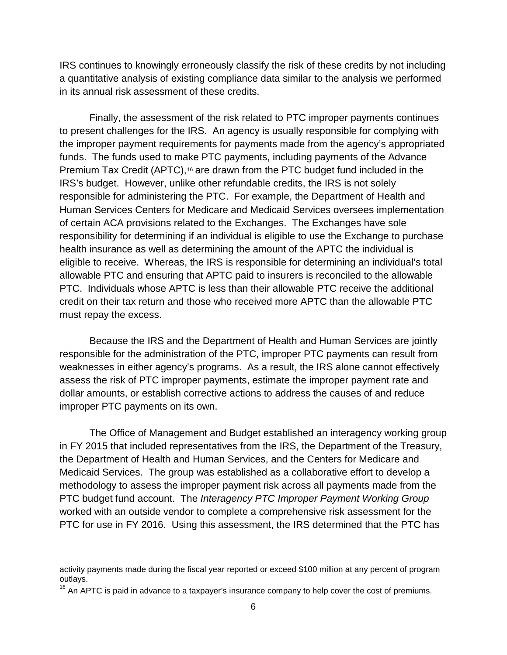IRS continues to knowingly erroneously classify the risk of these credits by not including a quantitative analysis of existing compliance data similar to the analysis we performed in its annual risk assessment of these credits.

Finally, the assessment of the risk related to PTC improper payments continues to present challenges for the IRS. An agency is usually responsible for complying with the improper payment requirements for payments made from the agency's appropriated funds. The funds used to make PTC payments, including payments of the Advance Premium Tax Credit (APTC),<sup>[16](#page-6-0)</sup> are drawn from the PTC budget fund included in the IRS's budget. However, unlike other refundable credits, the IRS is not solely responsible for administering the PTC. For example, the Department of Health and Human Services Centers for Medicare and Medicaid Services oversees implementation of certain ACA provisions related to the Exchanges. The Exchanges have sole responsibility for determining if an individual is eligible to use the Exchange to purchase health insurance as well as determining the amount of the APTC the individual is eligible to receive. Whereas, the IRS is responsible for determining an individual's total allowable PTC and ensuring that APTC paid to insurers is reconciled to the allowable PTC. Individuals whose APTC is less than their allowable PTC receive the additional credit on their tax return and those who received more APTC than the allowable PTC must repay the excess.

Because the IRS and the Department of Health and Human Services are jointly responsible for the administration of the PTC, improper PTC payments can result from weaknesses in either agency's programs. As a result, the IRS alone cannot effectively assess the risk of PTC improper payments, estimate the improper payment rate and dollar amounts, or establish corrective actions to address the causes of and reduce improper PTC payments on its own.

The Office of Management and Budget established an interagency working group in FY 2015 that included representatives from the IRS, the Department of the Treasury, the Department of Health and Human Services, and the Centers for Medicare and Medicaid Services. The group was established as a collaborative effort to develop a methodology to assess the improper payment risk across all payments made from the PTC budget fund account. The *Interagency PTC Improper Payment Working Group* worked with an outside vendor to complete a comprehensive risk assessment for the PTC for use in FY 2016. Using this assessment, the IRS determined that the PTC has

activity payments made during the fiscal year reported or exceed \$100 million at any percent of program outlays.

<span id="page-6-0"></span> $16$  An APTC is paid in advance to a taxpayer's insurance company to help cover the cost of premiums.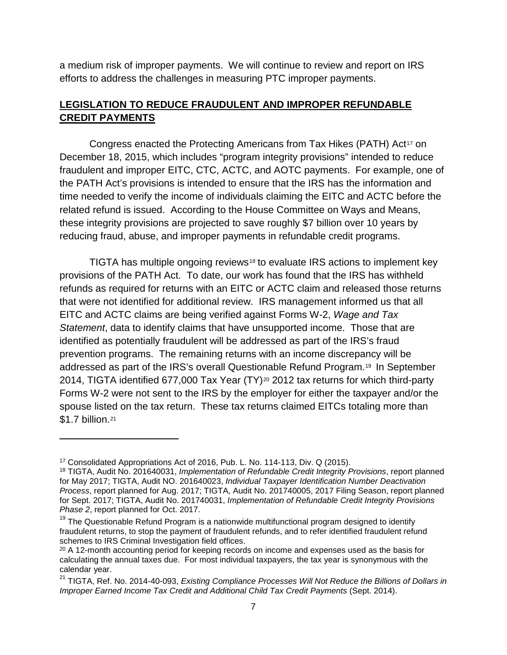a medium risk of improper payments. We will continue to review and report on IRS efforts to address the challenges in measuring PTC improper payments.

### **LEGISLATION TO REDUCE FRAUDULENT AND IMPROPER REFUNDABLE CREDIT PAYMENTS**

Congress enacted the Protecting Americans from Tax Hikes (PATH) Act<sup>[17](#page-7-0)</sup> on December 18, 2015, which includes "program integrity provisions" intended to reduce fraudulent and improper EITC, CTC, ACTC, and AOTC payments. For example, one of the PATH Act's provisions is intended to ensure that the IRS has the information and time needed to verify the income of individuals claiming the EITC and ACTC before the related refund is issued. According to the House Committee on Ways and Means, these integrity provisions are projected to save roughly \$7 billion over 10 years by reducing fraud, abuse, and improper payments in refundable credit programs.

TIGTA has multiple ongoing reviews<sup>[18](#page-7-1)</sup> to evaluate IRS actions to implement key provisions of the PATH Act. To date, our work has found that the IRS has withheld refunds as required for returns with an EITC or ACTC claim and released those returns that were not identified for additional review. IRS management informed us that all EITC and ACTC claims are being verified against Forms W-2, *Wage and Tax Statement*, data to identify claims that have unsupported income. Those that are identified as potentially fraudulent will be addressed as part of the IRS's fraud prevention programs. The remaining returns with an income discrepancy will be addressed as part of the IRS's overall Questionable Refund Program.[19](#page-7-2) In September [20](#page-7-3)14, TIGTA identified 677,000 Tax Year (TY)<sup>20</sup> 2012 tax returns for which third-party Forms W-2 were not sent to the IRS by the employer for either the taxpayer and/or the spouse listed on the tax return. These tax returns claimed EITCs totaling more than \$1.7 billion.[21](#page-7-4)

<span id="page-7-0"></span><sup>17</sup> Consolidated Appropriations Act of 2016, Pub. L. No. 114-113, Div. Q (2015).

<span id="page-7-1"></span><sup>18</sup> TIGTA, Audit No. 201640031, *Implementation of Refundable Credit Integrity Provisions*, report planned for May 2017; TIGTA, Audit NO. 201640023, *Individual Taxpayer Identification Number Deactivation Process*, report planned for Aug. 2017; TIGTA, Audit No. 201740005, 2017 Filing Season, report planned for Sept. 2017; TIGTA, Audit No. 201740031, *Implementation of Refundable Credit Integrity Provisions Phase 2*, report planned for Oct. 2017.

<span id="page-7-2"></span><sup>&</sup>lt;sup>19</sup> The Questionable Refund Program is a nationwide multifunctional program designed to identify fraudulent returns, to stop the payment of fraudulent refunds, and to refer identified fraudulent refund schemes to IRS Criminal Investigation field offices.

<span id="page-7-3"></span><sup>&</sup>lt;sup>20</sup> A 12-month accounting period for keeping records on income and expenses used as the basis for calculating the annual taxes due. For most individual taxpayers, the tax year is synonymous with the calendar year.

<span id="page-7-4"></span><sup>21</sup> TIGTA, Ref. No. 2014-40-093, *Existing Compliance Processes Will Not Reduce the Billions of Dollars in Improper Earned Income Tax Credit and Additional Child Tax Credit Payments* (Sept. 2014).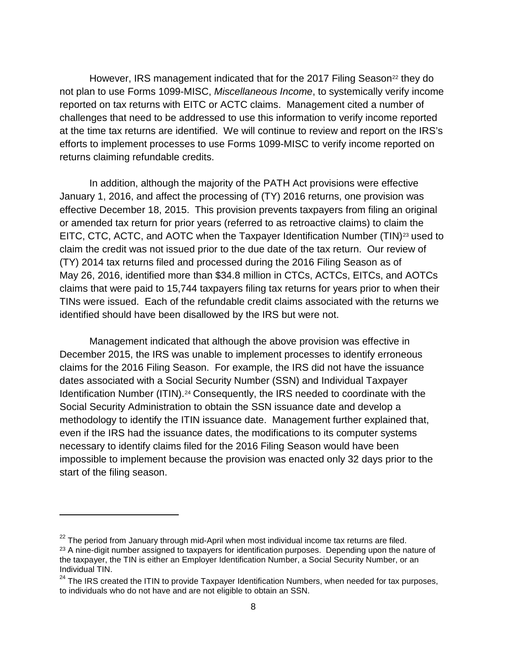However, IRS management indicated that for the 2017 Filing Season<sup>[22](#page-8-0)</sup> they do not plan to use Forms 1099-MISC, *Miscellaneous Income*, to systemically verify income reported on tax returns with EITC or ACTC claims. Management cited a number of challenges that need to be addressed to use this information to verify income reported at the time tax returns are identified. We will continue to review and report on the IRS's efforts to implement processes to use Forms 1099-MISC to verify income reported on returns claiming refundable credits.

In addition, although the majority of the PATH Act provisions were effective January 1, 2016, and affect the processing of (TY) 2016 returns, one provision was effective December 18, 2015. This provision prevents taxpayers from filing an original or amended tax return for prior years (referred to as retroactive claims) to claim the EITC, CTC, ACTC, and AOTC when the Taxpayer Identification Number (TIN)<sup>[23](#page-8-1)</sup> used to claim the credit was not issued prior to the due date of the tax return. Our review of (TY) 2014 tax returns filed and processed during the 2016 Filing Season as of May 26, 2016, identified more than \$34.8 million in CTCs, ACTCs, EITCs, and AOTCs claims that were paid to 15,744 taxpayers filing tax returns for years prior to when their TINs were issued. Each of the refundable credit claims associated with the returns we identified should have been disallowed by the IRS but were not.

Management indicated that although the above provision was effective in December 2015, the IRS was unable to implement processes to identify erroneous claims for the 2016 Filing Season. For example, the IRS did not have the issuance dates associated with a Social Security Number (SSN) and Individual Taxpayer Identification Number (ITIN).<sup>[24](#page-8-2)</sup> Consequently, the IRS needed to coordinate with the Social Security Administration to obtain the SSN issuance date and develop a methodology to identify the ITIN issuance date. Management further explained that, even if the IRS had the issuance dates, the modifications to its computer systems necessary to identify claims filed for the 2016 Filing Season would have been impossible to implement because the provision was enacted only 32 days prior to the start of the filing season.

<span id="page-8-1"></span><span id="page-8-0"></span> $22$  The period from January through mid-April when most individual income tax returns are filed. <sup>23</sup> A nine-digit number assigned to taxpayers for identification purposes. Depending upon the nature of the taxpayer, the TIN is either an Employer Identification Number, a Social Security Number, or an Individual TIN.

<span id="page-8-2"></span><sup>&</sup>lt;sup>24</sup> The IRS created the ITIN to provide Taxpayer Identification Numbers, when needed for tax purposes, to individuals who do not have and are not eligible to obtain an SSN.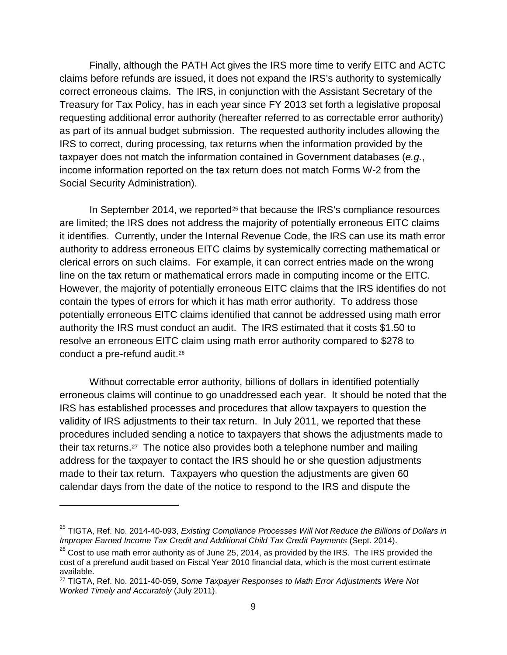Finally, although the PATH Act gives the IRS more time to verify EITC and ACTC claims before refunds are issued, it does not expand the IRS's authority to systemically correct erroneous claims. The IRS, in conjunction with the Assistant Secretary of the Treasury for Tax Policy, has in each year since FY 2013 set forth a legislative proposal requesting additional error authority (hereafter referred to as correctable error authority) as part of its annual budget submission. The requested authority includes allowing the IRS to correct, during processing, tax returns when the information provided by the taxpayer does not match the information contained in Government databases (*e.g.*, income information reported on the tax return does not match Forms W-2 from the Social Security Administration).

In September 2014, we reported<sup>[25](#page-9-0)</sup> that because the IRS's compliance resources are limited; the IRS does not address the majority of potentially erroneous EITC claims it identifies. Currently, under the Internal Revenue Code, the IRS can use its math error authority to address erroneous EITC claims by systemically correcting mathematical or clerical errors on such claims. For example, it can correct entries made on the wrong line on the tax return or mathematical errors made in computing income or the EITC. However, the majority of potentially erroneous EITC claims that the IRS identifies do not contain the types of errors for which it has math error authority. To address those potentially erroneous EITC claims identified that cannot be addressed using math error authority the IRS must conduct an audit. The IRS estimated that it costs \$1.50 to resolve an erroneous EITC claim using math error authority compared to \$278 to conduct a pre-refund audit.[26](#page-9-1)

Without correctable error authority, billions of dollars in identified potentially erroneous claims will continue to go unaddressed each year. It should be noted that the IRS has established processes and procedures that allow taxpayers to question the validity of IRS adjustments to their tax return. In July 2011, we reported that these procedures included sending a notice to taxpayers that shows the adjustments made to their tax returns.[27](#page-9-2) The notice also provides both a telephone number and mailing address for the taxpayer to contact the IRS should he or she question adjustments made to their tax return. Taxpayers who question the adjustments are given 60 calendar days from the date of the notice to respond to the IRS and dispute the

<span id="page-9-0"></span><sup>25</sup> TIGTA, Ref. No. 2014-40-093, *Existing Compliance Processes Will Not Reduce the Billions of Dollars in Improper Earned Income Tax Credit and Additional Child Tax Credit Payments* (Sept. 2014).

<span id="page-9-1"></span> $26$  Cost to use math error authority as of June 25, 2014, as provided by the IRS. The IRS provided the cost of a prerefund audit based on Fiscal Year 2010 financial data, which is the most current estimate available.

<span id="page-9-2"></span><sup>27</sup> TIGTA, Ref. No. 2011-40-059, *Some Taxpayer Responses to Math Error Adjustments Were Not Worked Timely and Accurately* (July 2011).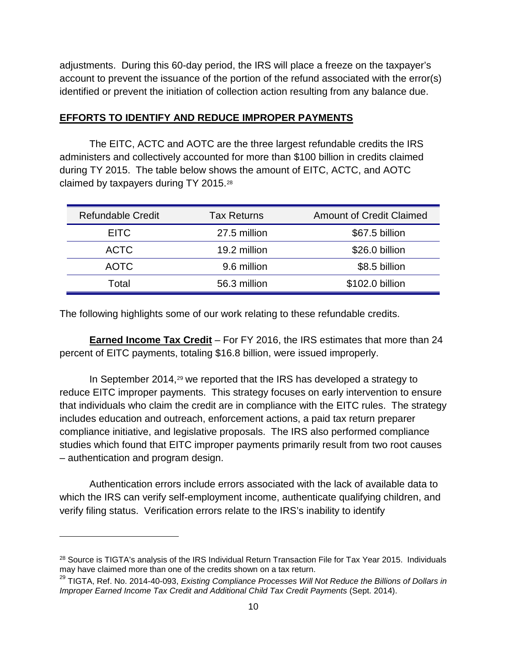adjustments. During this 60-day period, the IRS will place a freeze on the taxpayer's account to prevent the issuance of the portion of the refund associated with the error(s) identified or prevent the initiation of collection action resulting from any balance due.

#### **EFFORTS TO IDENTIFY AND REDUCE IMPROPER PAYMENTS**

The EITC, ACTC and AOTC are the three largest refundable credits the IRS administers and collectively accounted for more than \$100 billion in credits claimed during TY 2015. The table below shows the amount of EITC, ACTC, and AOTC claimed by taxpayers during TY 2015.[28](#page-10-0)

| <b>Refundable Credit</b> | <b>Tax Returns</b> | <b>Amount of Credit Claimed</b> |
|--------------------------|--------------------|---------------------------------|
| <b>EITC</b>              | 27.5 million       | \$67.5 billion                  |
| <b>ACTC</b>              | 19.2 million       | \$26.0 billion                  |
| <b>AOTC</b>              | 9.6 million        | \$8.5 billion                   |
| Total                    | 56.3 million       | \$102.0 billion                 |

The following highlights some of our work relating to these refundable credits.

**Earned Income Tax Credit** – For FY 2016, the IRS estimates that more than 24 percent of EITC payments, totaling \$16.8 billion, were issued improperly.

In September 2014,<sup>[29](#page-10-1)</sup> we reported that the IRS has developed a strategy to reduce EITC improper payments. This strategy focuses on early intervention to ensure that individuals who claim the credit are in compliance with the EITC rules. The strategy includes education and outreach, enforcement actions, a paid tax return preparer compliance initiative, and legislative proposals. The IRS also performed compliance studies which found that EITC improper payments primarily result from two root causes – authentication and program design.

Authentication errors include errors associated with the lack of available data to which the IRS can verify self-employment income, authenticate qualifying children, and verify filing status. Verification errors relate to the IRS's inability to identify

<span id="page-10-0"></span><sup>&</sup>lt;sup>28</sup> Source is TIGTA's analysis of the IRS Individual Return Transaction File for Tax Year 2015. Individuals may have claimed more than one of the credits shown on a tax return.

<span id="page-10-1"></span><sup>29</sup> TIGTA, Ref. No. 2014-40-093, *Existing Compliance Processes Will Not Reduce the Billions of Dollars in Improper Earned Income Tax Credit and Additional Child Tax Credit Payments* (Sept. 2014).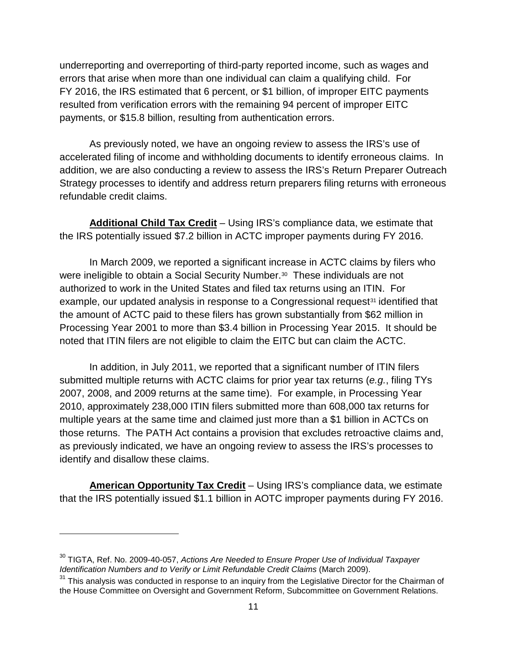underreporting and overreporting of third-party reported income, such as wages and errors that arise when more than one individual can claim a qualifying child. For FY 2016, the IRS estimated that 6 percent, or \$1 billion, of improper EITC payments resulted from verification errors with the remaining 94 percent of improper EITC payments, or \$15.8 billion, resulting from authentication errors.

As previously noted, we have an ongoing review to assess the IRS's use of accelerated filing of income and withholding documents to identify erroneous claims. In addition, we are also conducting a review to assess the IRS's Return Preparer Outreach Strategy processes to identify and address return preparers filing returns with erroneous refundable credit claims.

**Additional Child Tax Credit** – Using IRS's compliance data, we estimate that the IRS potentially issued \$7.2 billion in ACTC improper payments during FY 2016.

In March 2009, we reported a significant increase in ACTC claims by filers who were ineligible to obtain a Social Security Number.[30](#page-11-0) These individuals are not authorized to work in the United States and filed tax returns using an ITIN. For example, our updated analysis in response to a Congressional request<sup>[31](#page-11-1)</sup> identified that the amount of ACTC paid to these filers has grown substantially from \$62 million in Processing Year 2001 to more than \$3.4 billion in Processing Year 2015. It should be noted that ITIN filers are not eligible to claim the EITC but can claim the ACTC.

In addition, in July 2011, we reported that a significant number of ITIN filers submitted multiple returns with ACTC claims for prior year tax returns (*e.g.*, filing TYs 2007, 2008, and 2009 returns at the same time). For example, in Processing Year 2010, approximately 238,000 ITIN filers submitted more than 608,000 tax returns for multiple years at the same time and claimed just more than a \$1 billion in ACTCs on those returns. The PATH Act contains a provision that excludes retroactive claims and, as previously indicated, we have an ongoing review to assess the IRS's processes to identify and disallow these claims.

**American Opportunity Tax Credit** – Using IRS's compliance data, we estimate that the IRS potentially issued \$1.1 billion in AOTC improper payments during FY 2016.

<span id="page-11-0"></span><sup>30</sup> TIGTA, Ref. No. 2009-40-057, *Actions Are Needed to Ensure Proper Use of Individual Taxpayer Identification Numbers and to Verify or Limit Refundable Credit Claims* (March 2009).

<span id="page-11-1"></span><sup>&</sup>lt;sup>31</sup> This analysis was conducted in response to an inquiry from the Legislative Director for the Chairman of the House Committee on Oversight and Government Reform, Subcommittee on Government Relations.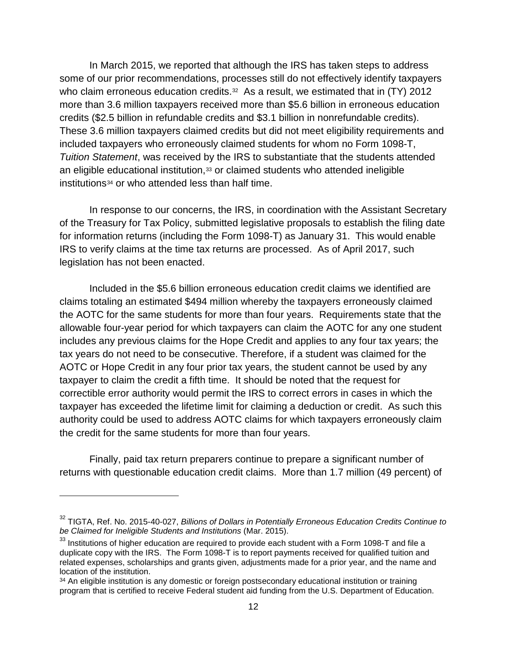In March 2015, we reported that although the IRS has taken steps to address some of our prior recommendations, processes still do not effectively identify taxpayers who claim erroneous education credits.<sup>32</sup> As a result, we estimated that in (TY) 2012 more than 3.6 million taxpayers received more than \$5.6 billion in erroneous education credits (\$2.5 billion in refundable credits and \$3.1 billion in nonrefundable credits). These 3.6 million taxpayers claimed credits but did not meet eligibility requirements and included taxpayers who erroneously claimed students for whom no Form 1098-T, *Tuition Statement*, was received by the IRS to substantiate that the students attended an eligible educational institution, $33$  or claimed students who attended ineligible institutions[34](#page-12-2) or who attended less than half time.

In response to our concerns, the IRS, in coordination with the Assistant Secretary of the Treasury for Tax Policy, submitted legislative proposals to establish the filing date for information returns (including the Form 1098-T) as January 31. This would enable IRS to verify claims at the time tax returns are processed. As of April 2017, such legislation has not been enacted.

Included in the \$5.6 billion erroneous education credit claims we identified are claims totaling an estimated \$494 million whereby the taxpayers erroneously claimed the AOTC for the same students for more than four years. Requirements state that the allowable four-year period for which taxpayers can claim the AOTC for any one student includes any previous claims for the Hope Credit and applies to any four tax years; the tax years do not need to be consecutive. Therefore, if a student was claimed for the AOTC or Hope Credit in any four prior tax years, the student cannot be used by any taxpayer to claim the credit a fifth time. It should be noted that the request for correctible error authority would permit the IRS to correct errors in cases in which the taxpayer has exceeded the lifetime limit for claiming a deduction or credit. As such this authority could be used to address AOTC claims for which taxpayers erroneously claim the credit for the same students for more than four years.

Finally, paid tax return preparers continue to prepare a significant number of returns with questionable education credit claims. More than 1.7 million (49 percent) of

<span id="page-12-0"></span><sup>32</sup> TIGTA, Ref. No. 2015-40-027, *Billions of Dollars in Potentially Erroneous Education Credits Continue to be Claimed for Ineligible Students and Institutions* (Mar. 2015).

<span id="page-12-1"></span><sup>&</sup>lt;sup>33</sup> Institutions of higher education are required to provide each student with a Form 1098-T and file a duplicate copy with the IRS. The Form 1098-T is to report payments received for qualified tuition and related expenses, scholarships and grants given, adjustments made for a prior year, and the name and location of the institution.

<span id="page-12-2"></span><sup>&</sup>lt;sup>34</sup> An eligible institution is any domestic or foreign postsecondary educational institution or training program that is certified to receive Federal student aid funding from the U.S. Department of Education.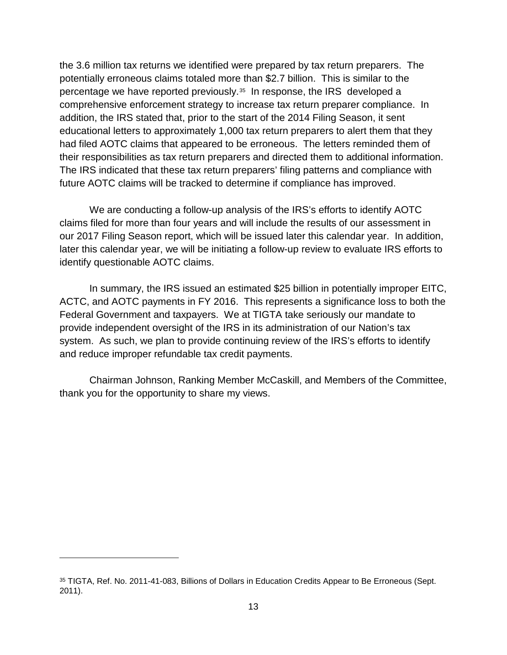the 3.6 million tax returns we identified were prepared by tax return preparers. The potentially erroneous claims totaled more than \$2.7 billion. This is similar to the percentage we have reported previously.[35](#page-13-0) In response, the IRS developed a comprehensive enforcement strategy to increase tax return preparer compliance. In addition, the IRS stated that, prior to the start of the 2014 Filing Season, it sent educational letters to approximately 1,000 tax return preparers to alert them that they had filed AOTC claims that appeared to be erroneous. The letters reminded them of their responsibilities as tax return preparers and directed them to additional information. The IRS indicated that these tax return preparers' filing patterns and compliance with future AOTC claims will be tracked to determine if compliance has improved.

We are conducting a follow-up analysis of the IRS's efforts to identify AOTC claims filed for more than four years and will include the results of our assessment in our 2017 Filing Season report, which will be issued later this calendar year. In addition, later this calendar year, we will be initiating a follow-up review to evaluate IRS efforts to identify questionable AOTC claims.

In summary, the IRS issued an estimated \$25 billion in potentially improper EITC, ACTC, and AOTC payments in FY 2016. This represents a significance loss to both the Federal Government and taxpayers. We at TIGTA take seriously our mandate to provide independent oversight of the IRS in its administration of our Nation's tax system. As such, we plan to provide continuing review of the IRS's efforts to identify and reduce improper refundable tax credit payments.

Chairman Johnson, Ranking Member McCaskill, and Members of the Committee, thank you for the opportunity to share my views.

<span id="page-13-0"></span><sup>35</sup> TIGTA, Ref. No. 2011-41-083, Billions of Dollars in Education Credits Appear to Be Erroneous (Sept. 2011).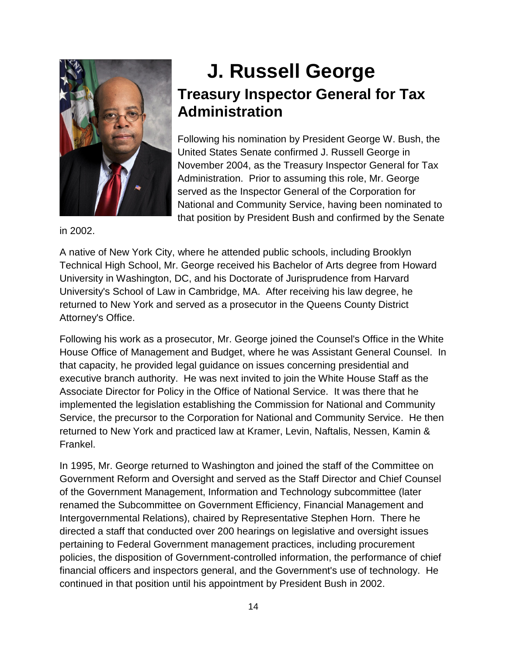

## **J. Russell George Treasury Inspector General for Tax Administration**

Following his nomination by President George W. Bush, the United States Senate confirmed J. Russell George in November 2004, as the Treasury Inspector General for Tax Administration. Prior to assuming this role, Mr. George served as the Inspector General of the Corporation for National and Community Service, having been nominated to that position by President Bush and confirmed by the Senate

in 2002.

A native of New York City, where he attended public schools, including Brooklyn Technical High School, Mr. George received his Bachelor of Arts degree from Howard University in Washington, DC, and his Doctorate of Jurisprudence from Harvard University's School of Law in Cambridge, MA. After receiving his law degree, he returned to New York and served as a prosecutor in the Queens County District Attorney's Office.

Following his work as a prosecutor, Mr. George joined the Counsel's Office in the White House Office of Management and Budget, where he was Assistant General Counsel. In that capacity, he provided legal guidance on issues concerning presidential and executive branch authority. He was next invited to join the White House Staff as the Associate Director for Policy in the Office of National Service. It was there that he implemented the legislation establishing the Commission for National and Community Service, the precursor to the Corporation for National and Community Service. He then returned to New York and practiced law at Kramer, Levin, Naftalis, Nessen, Kamin & Frankel.

In 1995, Mr. George returned to Washington and joined the staff of the Committee on Government Reform and Oversight and served as the Staff Director and Chief Counsel of the Government Management, Information and Technology subcommittee (later renamed the Subcommittee on Government Efficiency, Financial Management and Intergovernmental Relations), chaired by Representative Stephen Horn. There he directed a staff that conducted over 200 hearings on legislative and oversight issues pertaining to Federal Government management practices, including procurement policies, the disposition of Government-controlled information, the performance of chief financial officers and inspectors general, and the Government's use of technology. He continued in that position until his appointment by President Bush in 2002.